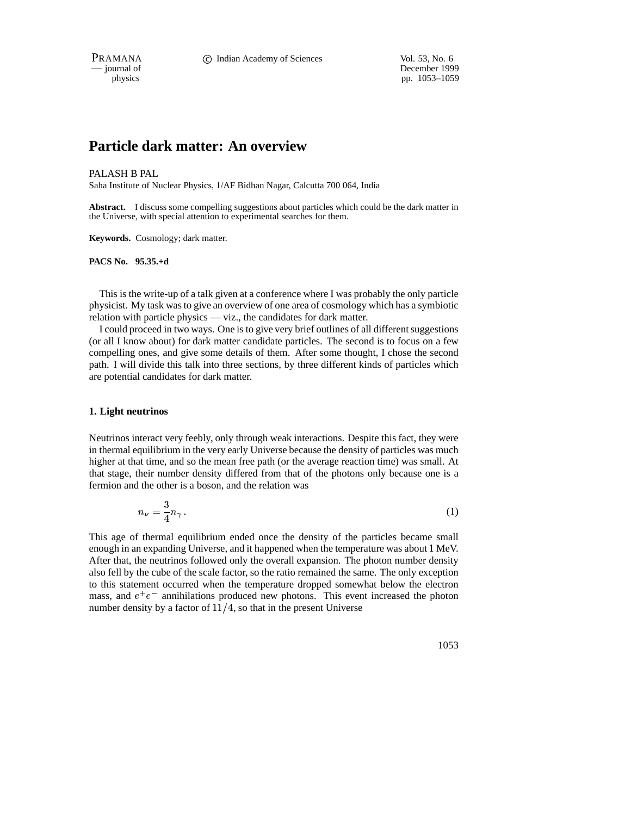PRAMANA **C** Indian Academy of Sciences Vol. 53, No. 6

# **Particle dark matter: An overview**

PALASH B PAL

Saha Institute of Nuclear Physics, 1/AF Bidhan Nagar, Calcutta 700 064, India

**Abstract.** I discuss some compelling suggestions about particles which could be the dark matter in the Universe, with special attention to experimental searches for them.

**Keywords.** Cosmology; dark matter.

**PACS No. 95.35.+d**

This is the write-up of a talk given at a conference where I was probably the only particle physicist. My task wasto give an overview of one area of cosmology which has a symbiotic relation with particle physics — viz., the candidates for dark matter.

I could proceed in two ways. One is to give very brief outlines of all differentsuggestions (or all I know about) for dark matter candidate particles. The second is to focus on a few compelling ones, and give some details of them. After some thought, I chose the second path. I will divide this talk into three sections, by three different kinds of particles which are potential candidates for dark matter.

# **1. Light neutrinos**

Neutrinos interact very feebly, only through weak interactions. Despite this fact, they were in thermal equilibrium in the very early Universe because the density of particles was much higher at that time, and so the mean free path (or the average reaction time) was small. At that stage, their number density differed from that of the photons only because one is a fermion and the other is a boson, and the relation was

$$
n_{\nu} = \frac{3}{4} n_{\gamma} \,. \tag{1}
$$

This age of thermal equilibrium ended once the density of the particles became small enough in an expanding Universe, and it happened when the temperature was about 1 MeV. After that, the neutrinos followed only the overall expansion. The photon number density also fell by the cube of the scale factor, so the ratio remained the same. The only exception to this statement occurred when the temperature dropped somewhat below the electron mass, and  $e^+e^-$  annihilations produced new photons. This event increased the photon number density by a factor of  $11/4$ , so that in the present Universe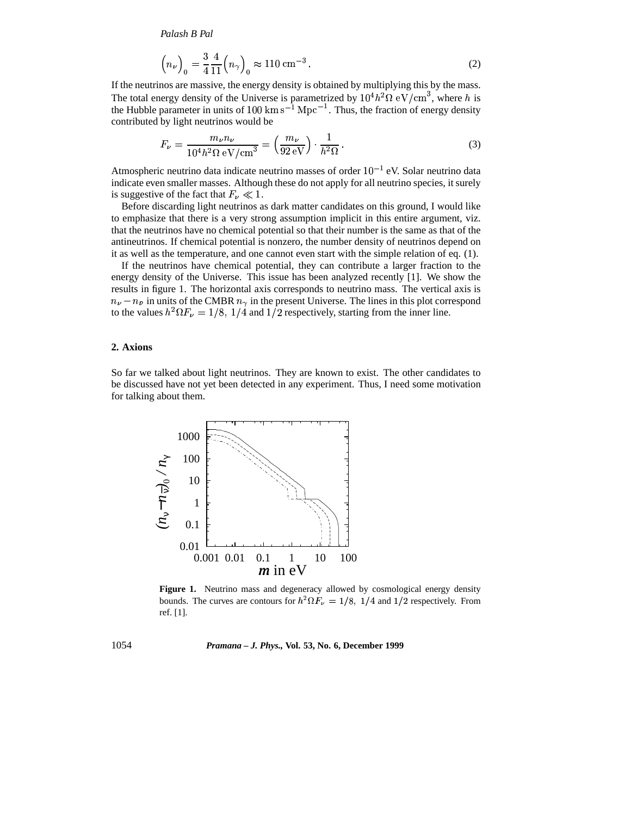*Palash B Pal*

$$
\left(n_{\nu}\right)_{0} = \frac{3}{4} \frac{4}{11} \left(n_{\gamma}\right)_{0} \approx 110 \text{ cm}^{-3} \,. \tag{2}
$$

If the neutrinos are massive, the energy density is obtained by multiplying this by the mass. The total energy density of the Universe is parametrized by  $10^4 h^2 \Omega \text{ eV/cm}^3$ , where h is the Hubble parameter in units of 100  $\rm km\,s^{-1}\,Mpc^{-1}$ . Thus, the fraction of energy density contributed by light neutrinos would be

$$
F_{\nu} = \frac{m_{\nu}n_{\nu}}{10^4 h^2 \Omega \text{ eV/cm}^3} = \left(\frac{m_{\nu}}{92 \text{ eV}}\right) \cdot \frac{1}{h^2 \Omega} \,. \tag{3}
$$

Atmospheric neutrino data indicate neutrino masses of order  $10^{-1}$  eV. Solar neutrino data indicate even smaller masses. Although these do not apply for all neutrino species, it surely is suggestive of the fact that  $F_{\nu} \ll 1$ .

Before discarding light neutrinos as dark matter candidates on this ground, I would like to emphasize that there is a very strong assumption implicit in this entire argument, viz. that the neutrinos have no chemical potential so that their number is the same as that of the antineutrinos. If chemical potential is nonzero, the number density of neutrinos depend on it as well as the temperature, and one cannot even start with the simple relation of eq. (1).

If the neutrinos have chemical potential, they can contribute a larger fraction to the energy density of the Universe. This issue has been analyzed recently [1]. We show the results in figure 1. The horizontal axis corresponds to neutrino mass. The vertical axis is  $n_{\nu} - n_{\bar{\nu}}$  in units of the CMBR  $n_{\gamma}$  in the present Universe. The lines in this plot correspond to the values  $h^2 \Omega F_\nu = 1/8$ ,  $1/4$  and  $1/2$  respectively, starting from the inner line.

# **2. Axions**

So far we talked about light neutrinos. They are known to exist. The other candidates to be discussed have not yet been detected in any experiment. Thus, I need some motivation for talking about them.



**Figure 1.** Neutrino mass and degeneracy allowed by cosmological energy density bounds. The curves are contours for  $h^2 \Omega F_\nu = 1/8$ ,  $1/4$  and  $1/2$  respectively. From ref. [1].

1054 *Pramana – J. Phys.,* **Vol. 53, No. 6, December 1999**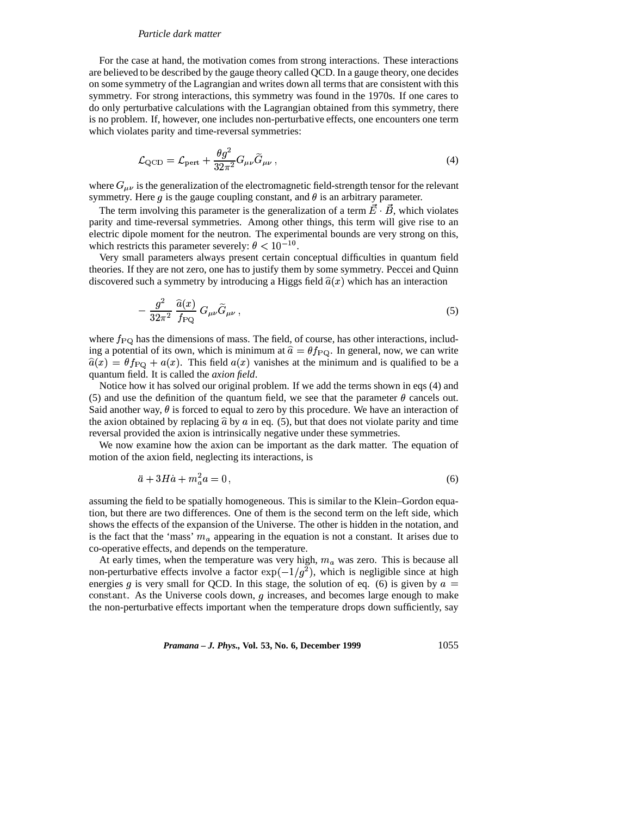# *Particle dark matter*

For the case at hand, the motivation comes from strong interactions. These interactions are believed to be described by the gauge theory called QCD. In a gauge theory, one decides on some symmetry of the Lagrangian and writes down all terms that are consistent with this symmetry. For strong interactions, this symmetry was found in the 1970s. If one cares to do only perturbative calculations with the Lagrangian obtained from this symmetry, there is no problem. If, however, one includes non-perturbative effects, one encounters one term which violates parity and time-reversal symmetries:

$$
\mathcal{L}_{\text{QCD}} = \mathcal{L}_{\text{pert}} + \frac{\theta g^2}{32\pi^2} G_{\mu\nu} \widetilde{G}_{\mu\nu} , \qquad (4)
$$

where  $G_{\mu\nu}$  is the generalization of the electromagnetic field-strength tensor for the relevant symmetry. Here g is the gauge coupling constant, and  $\theta$  is an arbitrary parameter.

The term involving this parameter is the generalization of a term  $E \cdot B$ , which violates parity and time-reversal symmetries. Among other things, this term will give rise to an electric dipole moment for the neutron. The experimental bounds are very strong on this, which restricts this parameter severely:  $\theta < 10^{-10}$ . which restricts this parameter severely:  $\theta < 10^{-10}$ .

Very small parameters always present certain conceptual difficulties in quantum field theories. If they are not zero, one has to justify them by some symmetry. Peccei and Quinn discovered such a symmetry by introducing a Higgs field  $\hat{a}(x)$  which has an interaction

$$
-\frac{g^2}{32\pi^2}\frac{\widehat{a}(x)}{f_{\rm PQ}}\,G_{\mu\nu}\widetilde{G}_{\mu\nu}\,,\tag{5}
$$

where  $f_{\rm PQ}$  has the dimensions of mass. The field, of course, has other interactions, including a potential of its own, which is minimum at  $\hat{a} = \theta f_{PQ}$ . In general, now, we can write  $\hat{a}(x) = \theta f_{\text{PQ}} + a(x)$ . This field  $a(x)$  vanishes at the minimum and is qualified to be a quantum field. It is called the *axion field*.

Notice how it has solved our original problem. If we add the terms shown in eqs (4) and (5) and use the definition of the quantum field, we see that the parameter  $\theta$  cancels out. Said another way,  $\theta$  is forced to equal to zero by this procedure. We have an interaction of the axion obtained by replacing  $\hat{a}$  by a in eq. (5), but that does not violate parity and time reversal provided the axion is intrinsically negative under these symmetries.

We now examine how the axion can be important as the dark matter. The equation of motion of the axion field, neglecting its interactions, is

$$
\ddot{a} + 3H\dot{a} + m_a^2 a = 0,\t\t(6)
$$

assuming the field to be spatially homogeneous. This is similar to the Klein–Gordon equation, but there are two differences. One of them is the second term on the left side, which shows the effects of the expansion of the Universe. The other is hidden in the notation, and is the fact that the 'mass'  $m_a$  appearing in the equation is not a constant. It arises due to co-operative effects, and depends on the temperature.

At early times, when the temperature was very high,  $m_a$  was zero. This is because all non-perturbative effects involve a factor  $\exp(-1/g^2)$ , which is negligible since at high energies g is very small for QCD. In this stage, the solution of eq. (6) is given by  $a =$ constant. As the Universe cools down,  $g$  increases, and becomes large enough to make the non-perturbative effects important when the temperature drops down sufficiently, say

*Pramana – J. Phys.,* **Vol. 53, No. 6, December 1999** 1055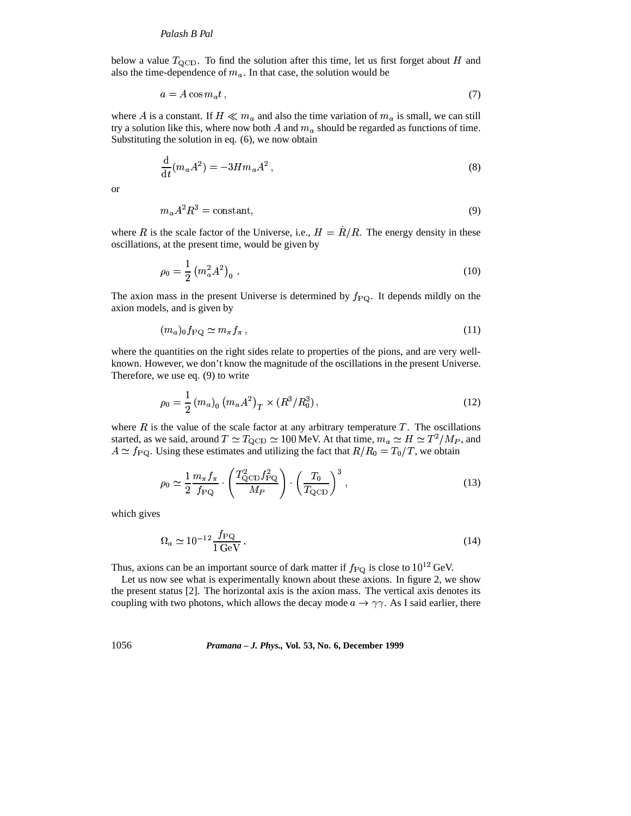#### *Palash B Pal*

below a value  $T_{\text{QCD}}$ . To find the solution after this time, let us first forget about H and also the time-dependence of  $m_a$ . In that case, the solution would be

$$
a = A\cos m_a t \,,\tag{7}
$$

where A is a constant. If  $H \ll m_a$  and also the time variation of  $m_a$  is small, we can still try a solution like this, where now both A and  $m_a$  should be regarded as functions of time. Substituting the solution in eq. (6), we now obtain

$$
\frac{\mathrm{d}}{\mathrm{d}t}(m_a A^2) = -3Hm_a A^2 ,\qquad (8)
$$

or

$$
m_a A^2 R^3 = \text{constant},\tag{9}
$$

where R is the scale factor of the Universe, i.e.,  $H = R/R$ . The energy density in these oscillations, at the present time, would be given by

$$
\rho_0 = \frac{1}{2} \left( m_a^2 A^2 \right)_0 \,. \tag{10}
$$

The axion mass in the present Universe is determined by  $f_{\rm PQ}$ . It depends mildly on the axion models, and is given by

$$
(m_a)_0 f_{\rm PQ} \simeq m_\pi f_\pi \,,\tag{11}
$$

where the quantities on the right sides relate to properties of the pions, and are very wellknown. However, we don't know the magnitude of the oscillations in the present Universe. Therefore, we use eq. (9) to write

$$
\rho_0 = \frac{1}{2} (m_a)_0 (m_a A^2)_T \times (R^3 / R_0^3), \qquad (12)
$$

where  $R$  is the value of the scale factor at any arbitrary temperature  $T$ . The oscillations started, as we said, around  $T \simeq T_{\rm QCD} \simeq 100$  MeV. At that time,  $m_a \simeq H \simeq T^2/M_P$ , and  $A \simeq f_{\text{PQ}}$ . Using these estimates and utilizing the fact that  $R/R_0 = T_0/T$ , we obtain

$$
\rho_0 \simeq \frac{1}{2} \frac{m_\pi f_\pi}{f_{\rm PQ}} \cdot \left( \frac{T_{\rm QCD}^2 f_{\rm PQ}^2}{M_P} \right) \cdot \left( \frac{T_0}{T_{\rm QCD}} \right)^3 \,, \tag{13}
$$

which gives

$$
\Omega_a \simeq 10^{-12} \frac{f_{\rm PQ}}{1 \,\text{GeV}} \,. \tag{14}
$$

Thus, axions can be an important source of dark matter if  $f_{\rm PQ}$  is close to  $10^{12}$  GeV.

Let us now see what is experimentally known about these axions. In figure 2, we show the present status [2]. The horizontal axis is the axion mass. The vertical axis denotes its coupling with two photons, which allows the decay mode  $a \rightarrow \gamma \gamma$ . As I said earlier, there

1056 *Pramana – J. Phys.,* **Vol. 53, No. 6, December 1999**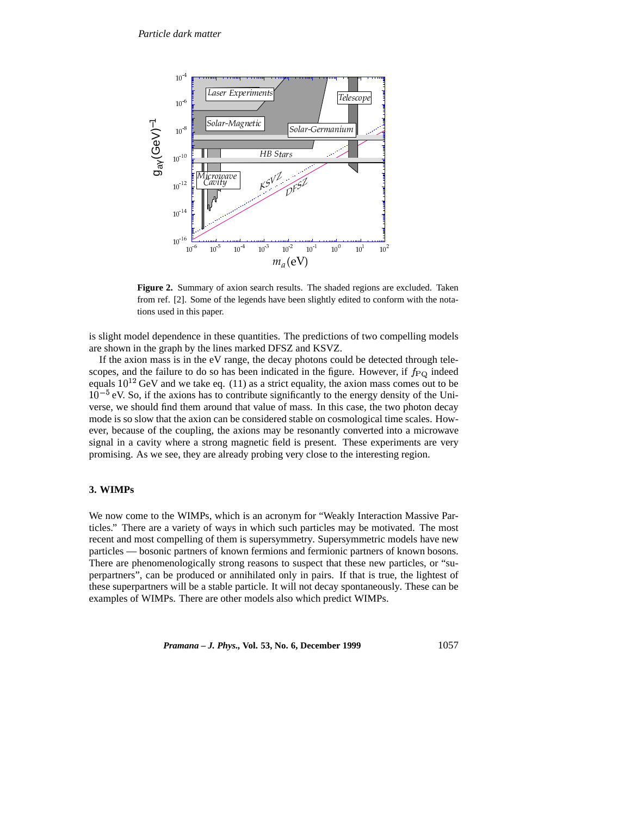

**Figure 2.** Summary of axion search results. The shaded regions are excluded. Taken from ref. [2]. Some of the legends have been slightly edited to conform with the notations used in this paper.

is slight model dependence in these quantities. The predictions of two compelling models are shown in the graph by the lines marked DFSZ and KSVZ.

If the axion mass is in the eV range, the decay photons could be detected through telescopes, and the failure to do so has been indicated in the figure. However, if  $f_{\rm PQ}$  indeed equals  $10^{12}$  GeV and we take eq. (11) as a strict equality, the axion mass comes out to be  $10^{-5}$  eV. So, if the axions has to contribute significantly to the energy density of the Universe, we should find them around that value of mass. In this case, the two photon decay mode is so slow that the axion can be considered stable on cosmological time scales. However, because of the coupling, the axions may be resonantly converted into a microwave signal in a cavity where a strong magnetic field is present. These experiments are very promising. As we see, they are already probing very close to the interesting region.

# **3. WIMPs**

We now come to the WIMPs, which is an acronym for "Weakly Interaction Massive Particles." There are a variety of ways in which such particles may be motivated. The most recent and most compelling of them is supersymmetry. Supersymmetric models have new particles — bosonic partners of known fermions and fermionic partners of known bosons. There are phenomenologically strong reasons to suspect that these new particles, or "superpartners", can be produced or annihilated only in pairs. If that is true, the lightest of these superpartners will be a stable particle. It will not decay spontaneously. These can be examples of WIMPs. There are other models also which predict WIMPs.

*Pramana – J. Phys.,* **Vol. 53, No. 6, December 1999** 1057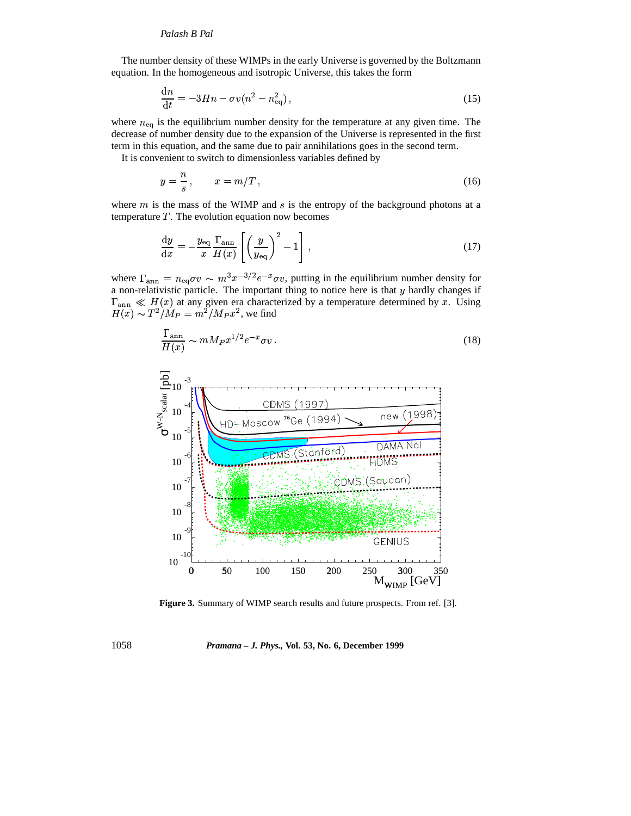# *Palash B Pal*

The number density of these WIMPs in the early Universe is governed by the Boltzmann equation. In the homogeneous and isotropic Universe, this takes the form

$$
\frac{\mathrm{d}n}{\mathrm{d}t} = -3Hn - \sigma v(n^2 - n_{\mathrm{eq}}^2),\tag{15}
$$

where  $n_{\text{eq}}$  is the equilibrium number density for the temperature at any given time. The decrease of number density due to the expansion of the Universe is represented in the first term in this equation, and the same due to pair annihilations goes in the second term.

It is convenient to switch to dimensionless variables defined by

$$
y = \frac{n}{s}, \qquad x = m/T, \tag{16}
$$

where  $m$  is the mass of the WIMP and  $s$  is the entropy of the background photons at a temperature  $T$ . The evolution equation now becomes

$$
\frac{\mathrm{d}y}{\mathrm{d}x} = -\frac{y_{\text{eq}}}{x} \frac{\Gamma_{\text{ann}}}{H(x)} \left[ \left( \frac{y}{y_{\text{eq}}} \right)^2 - 1 \right],\tag{17}
$$

where  $\Gamma_{\text{ann}} = n_{\text{eq}}\sigma v \sim m^3 x^{-3/2}e^{-x}\sigma v$ , putting in the equilibrium number density for a non-relativistic particle. The important thing to notice here is that y hardly changes if a non-relativistic particle. The important thing to notice here is that  $y$  hardly changes if  $H_{\text{ann}} \ll H(x)$  at any given era charact<br> $H(x) \sim T^2/M_P = m^2/M_P x^2$ , we find  $\Gamma_{\text{ann}} \ll H(x)$  at any given era characterized by a temperature determined by x. Using

$$
\frac{\Gamma_{\rm ann}}{H(x)} \sim m M_P x^{1/2} e^{-x} \sigma v \,. \tag{18}
$$



**Figure 3.** Summary of WIMP search results and future prospects. From ref. [3].

1058 *Pramana – J. Phys.,* **Vol. 53, No. 6, December 1999**